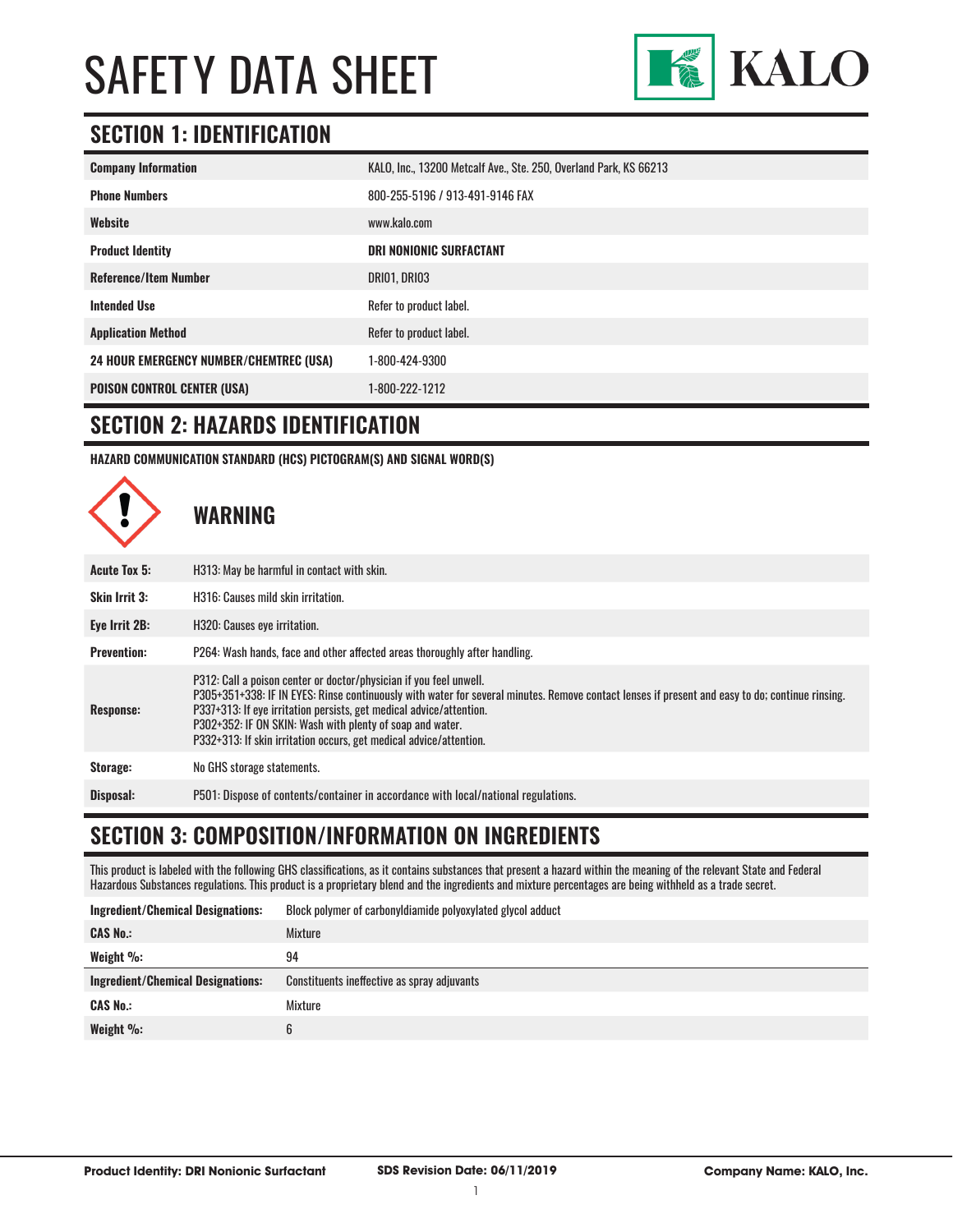

# **SECTION 1: IDENTIFICATION**

| <b>Company Information</b>                     | KALO, Inc., 13200 Metcalf Ave., Ste. 250, Overland Park, KS 66213 |
|------------------------------------------------|-------------------------------------------------------------------|
| <b>Phone Numbers</b>                           | 800-255-5196 / 913-491-9146 FAX                                   |
| Website                                        | www.kalo.com                                                      |
| <b>Product Identity</b>                        | <b>DRI NONIONIC SURFACTANT</b>                                    |
| <b>Reference/Item Number</b>                   | DRIO1, DRIO3                                                      |
| <b>Intended Use</b>                            | Refer to product label.                                           |
| <b>Application Method</b>                      | Refer to product label.                                           |
| <b>24 HOUR EMERGENCY NUMBER/CHEMTREC (USA)</b> | 1-800-424-9300                                                    |
| <b>POISON CONTROL CENTER (USA)</b>             | 1-800-222-1212                                                    |

#### **SECTION 2: HAZARDS IDENTIFICATION**

**HAZARD COMMUNICATION STANDARD (HCS) PICTOGRAM(S) AND SIGNAL WORD(S)**



### **SECTION 3: COMPOSITION/INFORMATION ON INGREDIENTS**

This product is labeled with the following GHS classifications, as it contains substances that present a hazard within the meaning of the relevant State and Federal Hazardous Substances regulations. This product is a proprietary blend and the ingredients and mixture percentages are being withheld as a trade secret.

| <b>Ingredient/Chemical Designations:</b> | Block polymer of carbonyldiamide polyoxylated glycol adduct |
|------------------------------------------|-------------------------------------------------------------|
| <b>CAS No.:</b>                          | Mixture                                                     |
| Weight $\%$ :                            | 94                                                          |
| <b>Ingredient/Chemical Designations:</b> | Constituents ineffective as spray adjuvants                 |
| <b>CAS No.:</b>                          | Mixture                                                     |
|                                          |                                                             |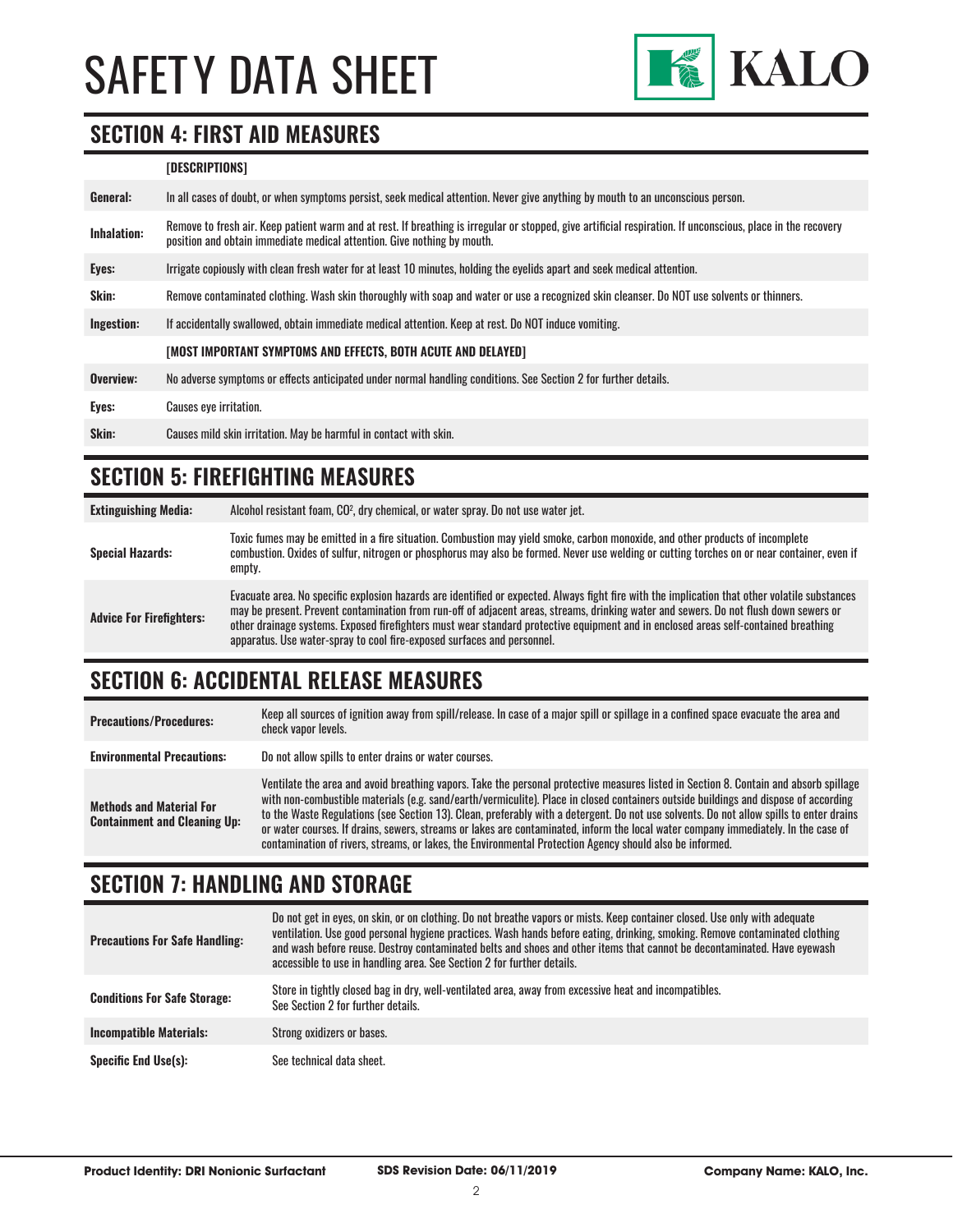

#### **SECTION 4: FIRST AID MEASURES**

#### **[DESCRIPTIONS]**

| General:     | In all cases of doubt, or when symptoms persist, seek medical attention. Never give anything by mouth to an unconscious person.                                                                                                         |
|--------------|-----------------------------------------------------------------------------------------------------------------------------------------------------------------------------------------------------------------------------------------|
| Inhalation:  | Remove to fresh air. Keep patient warm and at rest. If breathing is irregular or stopped, give artificial respiration. If unconscious, place in the recovery<br>position and obtain immediate medical attention. Give nothing by mouth. |
| Eyes:        | Irrigate copiously with clean fresh water for at least 10 minutes, holding the eyelids apart and seek medical attention.                                                                                                                |
| <b>Skin:</b> | Remove contaminated clothing. Wash skin thoroughly with soap and water or use a recognized skin cleanser. Do NOT use solvents or thinners.                                                                                              |
| Ingestion:   | If accidentally swallowed, obtain immediate medical attention. Keep at rest, Do NOT induce vomiting.                                                                                                                                    |
|              | [MOST IMPORTANT SYMPTOMS AND EFFECTS, BOTH ACUTE AND DELAYED]                                                                                                                                                                           |
| Overview:    | No adverse symptoms or effects anticipated under normal handling conditions. See Section 2 for further details.                                                                                                                         |
| Eyes:        | <b>Causes eye irritation.</b>                                                                                                                                                                                                           |
| Skin:        | Causes mild skin irritation. May be harmful in contact with skin.                                                                                                                                                                       |

#### **SECTION 5: FIREFIGHTING MEASURES**

**Extinguishing Media:** Alcohol resistant foam, CO2 , dry chemical, or water spray. Do not use water jet.

| <b>Special Hazards:</b>         | Toxic fumes may be emitted in a fire situation. Combustion may yield smoke, carbon monoxide, and other products of incomplete<br>combustion. Oxides of sulfur, nitrogen or phosphorus may also be formed. Never use welding or cutting torches on or near container, even if<br>empty.                                                                                                                                                                                                                    |
|---------------------------------|-----------------------------------------------------------------------------------------------------------------------------------------------------------------------------------------------------------------------------------------------------------------------------------------------------------------------------------------------------------------------------------------------------------------------------------------------------------------------------------------------------------|
| <b>Advice For Firefighters:</b> | Evacuate area. No specific explosion hazards are identified or expected. Always fight fire with the implication that other volatile substances<br>may be present. Prevent contamination from run-off of adjacent areas, streams, drinking water and sewers. Do not flush down sewers or<br>other drainage systems. Exposed firefighters must wear standard protective equipment and in enclosed areas self-contained breathing<br>apparatus. Use water-spray to cool fire-exposed surfaces and personnel. |

# **SECTION 6: ACCIDENTAL RELEASE MEASURES**

| <b>Precautions/Procedures:</b>                                         | Keep all sources of ignition away from spill/release. In case of a major spill or spillage in a confined space evacuate the area and<br>check vapor levels.                                                                                                                                                                                                                                                                                                                                                                                                                                                                                                               |
|------------------------------------------------------------------------|---------------------------------------------------------------------------------------------------------------------------------------------------------------------------------------------------------------------------------------------------------------------------------------------------------------------------------------------------------------------------------------------------------------------------------------------------------------------------------------------------------------------------------------------------------------------------------------------------------------------------------------------------------------------------|
| <b>Environmental Precautions:</b>                                      | Do not allow spills to enter drains or water courses.                                                                                                                                                                                                                                                                                                                                                                                                                                                                                                                                                                                                                     |
| <b>Methods and Material For</b><br><b>Containment and Cleaning Up:</b> | Ventilate the area and avoid breathing vapors. Take the personal protective measures listed in Section 8. Contain and absorb spillage<br>with non-combustible materials (e.g. sand/earth/vermiculite). Place in closed containers outside buildings and dispose of according<br>to the Waste Regulations (see Section 13). Clean, preferably with a detergent. Do not use solvents. Do not allow spills to enter drains<br>or water courses. If drains, sewers, streams or lakes are contaminated, inform the local water company immediately. In the case of<br>contamination of rivers, streams, or lakes, the Environmental Protection Agency should also be informed. |

#### **SECTION 7: HANDLING AND STORAGE**

| <b>Precautions For Safe Handling:</b> | Do not get in eyes, on skin, or on clothing. Do not breathe vapors or mists. Keep container closed. Use only with adequate<br>ventilation. Use good personal hygiene practices. Wash hands before eating, drinking, smoking. Remove contaminated clothing<br>and wash before reuse. Destroy contaminated belts and shoes and other items that cannot be decontaminated. Have eyewash<br>accessible to use in handling area. See Section 2 for further details. |
|---------------------------------------|----------------------------------------------------------------------------------------------------------------------------------------------------------------------------------------------------------------------------------------------------------------------------------------------------------------------------------------------------------------------------------------------------------------------------------------------------------------|
| <b>Conditions For Safe Storage:</b>   | Store in tightly closed bag in dry, well-ventilated area, away from excessive heat and incompatibles.<br>See Section 2 for further details.                                                                                                                                                                                                                                                                                                                    |
| <b>Incompatible Materials:</b>        | Strong oxidizers or bases.                                                                                                                                                                                                                                                                                                                                                                                                                                     |
| <b>Specific End Use(s):</b>           | See technical data sheet.                                                                                                                                                                                                                                                                                                                                                                                                                                      |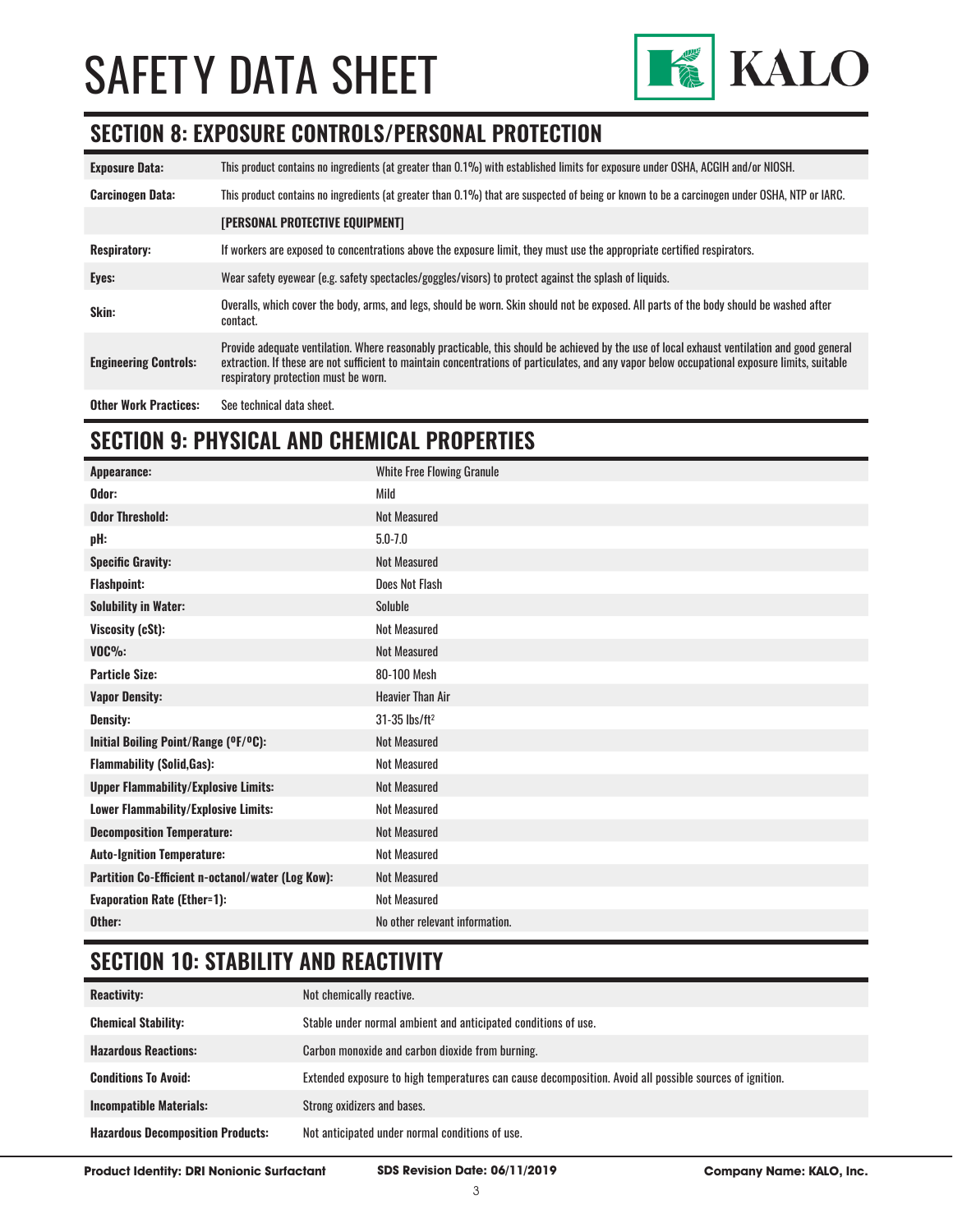

### **SECTION 8: EXPOSURE CONTROLS/PERSONAL PROTECTION**

| <b>Exposure Data:</b>        | This product contains no ingredients (at greater than 0.1%) with established limits for exposure under OSHA, ACGIH and/or NIOSH.                                                                                                                                                                                                       |
|------------------------------|----------------------------------------------------------------------------------------------------------------------------------------------------------------------------------------------------------------------------------------------------------------------------------------------------------------------------------------|
| <b>Carcinogen Data:</b>      | This product contains no ingredients (at greater than 0.1%) that are suspected of being or known to be a carcinogen under OSHA, NTP or IARC.                                                                                                                                                                                           |
|                              | [PERSONAL PROTECTIVE EQUIPMENT]                                                                                                                                                                                                                                                                                                        |
| <b>Respiratory:</b>          | If workers are exposed to concentrations above the exposure limit, they must use the appropriate certified respirators.                                                                                                                                                                                                                |
| Eyes:                        | Wear safety eyewear (e.g. safety spectacles/goggles/visors) to protect against the splash of liquids.                                                                                                                                                                                                                                  |
| Skin:                        | Overalls, which cover the body, arms, and legs, should be worn. Skin should not be exposed. All parts of the body should be washed after<br>contact.                                                                                                                                                                                   |
| <b>Engineering Controls:</b> | Provide adequate ventilation. Where reasonably practicable, this should be achieved by the use of local exhaust ventilation and good general<br>extraction. If these are not sufficient to maintain concentrations of particulates, and any vapor below occupational exposure limits, suitable<br>respiratory protection must be worn. |
| <b>Other Work Practices:</b> | See technical data sheet.                                                                                                                                                                                                                                                                                                              |

# **SECTION 9: PHYSICAL AND CHEMICAL PROPERTIES**

| Appearance:                                       | <b>White Free Flowing Granule</b> |
|---------------------------------------------------|-----------------------------------|
| Odor:                                             | Mild                              |
| <b>Odor Threshold:</b>                            | <b>Not Measured</b>               |
| pH:                                               | $5.0 - 7.0$                       |
| <b>Specific Gravity:</b>                          | <b>Not Measured</b>               |
| <b>Flashpoint:</b>                                | Does Not Flash                    |
| <b>Solubility in Water:</b>                       | Soluble                           |
| Viscosity (cSt):                                  | <b>Not Measured</b>               |
| $VOC\%$ :                                         | <b>Not Measured</b>               |
| <b>Particle Size:</b>                             | 80-100 Mesh                       |
| <b>Vapor Density:</b>                             | <b>Heavier Than Air</b>           |
| <b>Density:</b>                                   | $31-35$ lbs/ft <sup>2</sup>       |
| Initial Boiling Point/Range (OF/OC):              | <b>Not Measured</b>               |
| <b>Flammability (Solid, Gas):</b>                 | <b>Not Measured</b>               |
| <b>Upper Flammability/Explosive Limits:</b>       | Not Measured                      |
| <b>Lower Flammability/Explosive Limits:</b>       | <b>Not Measured</b>               |
| <b>Decomposition Temperature:</b>                 | <b>Not Measured</b>               |
| <b>Auto-Ignition Temperature:</b>                 | <b>Not Measured</b>               |
| Partition Co-Efficient n-octanol/water (Log Kow): | Not Measured                      |
| <b>Evaporation Rate (Ether=1):</b>                | <b>Not Measured</b>               |
| Other:                                            | No other relevant information.    |

# **SECTION 10: STABILITY AND REACTIVITY**

| <b>Reactivity:</b>                       | Not chemically reactive.                                                                                |
|------------------------------------------|---------------------------------------------------------------------------------------------------------|
| <b>Chemical Stability:</b>               | Stable under normal ambient and anticipated conditions of use.                                          |
| <b>Hazardous Reactions:</b>              | Carbon monoxide and carbon dioxide from burning.                                                        |
| <b>Conditions To Avoid:</b>              | Extended exposure to high temperatures can cause decomposition. Avoid all possible sources of ignition. |
| <b>Incompatible Materials:</b>           | Strong oxidizers and bases.                                                                             |
| <b>Hazardous Decomposition Products:</b> | Not anticipated under normal conditions of use.                                                         |

**Product Identity: DRI Nonionic Surfactant SDS Revision Date: 06/11/2019 Company Name: KALO, Inc.**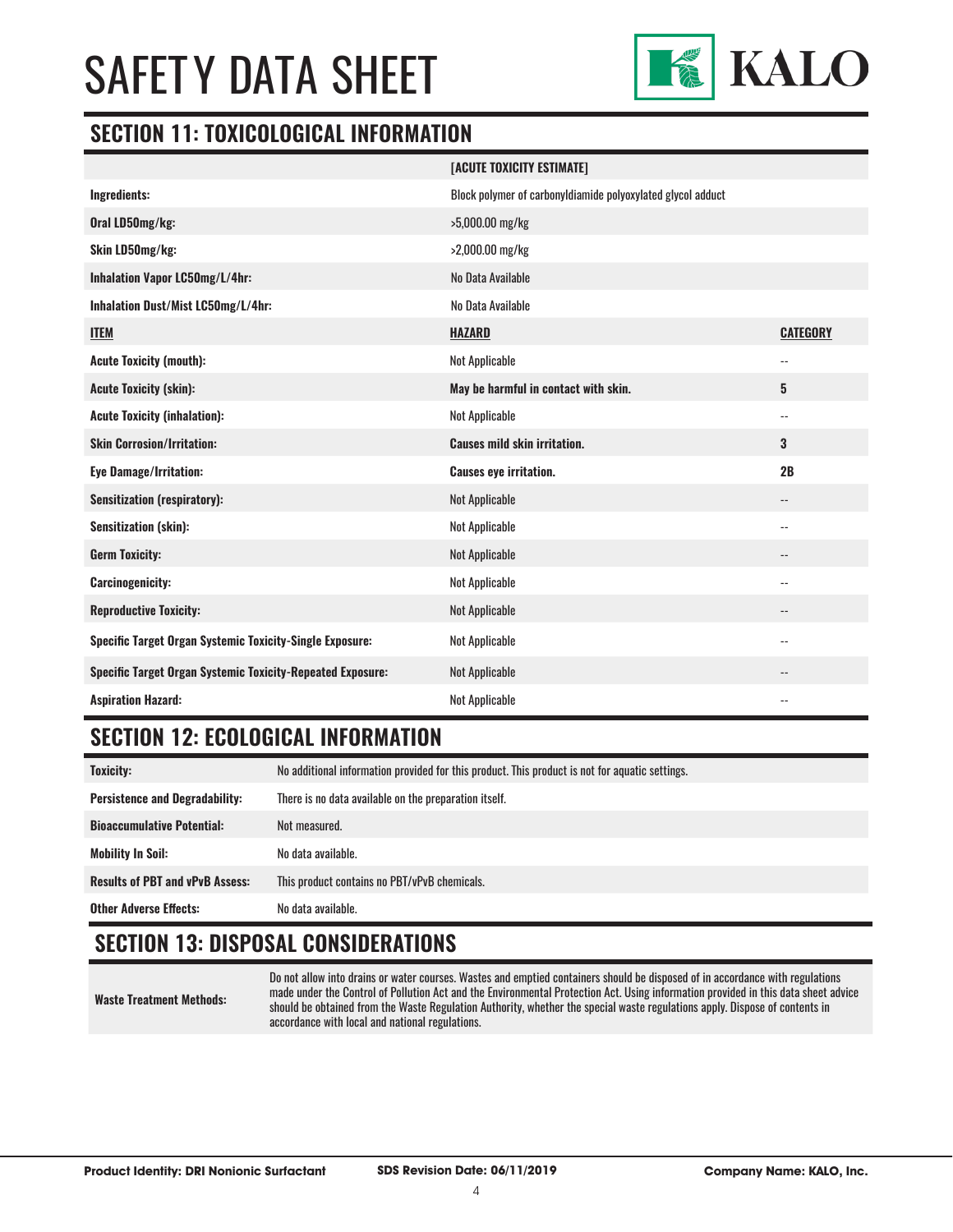

#### **SECTION 11: TOXICOLOGICAL INFORMATION**

|                                                                   | [ACUTE TOXICITY ESTIMATE]                                   |                          |
|-------------------------------------------------------------------|-------------------------------------------------------------|--------------------------|
| Ingredients:                                                      | Block polymer of carbonyldiamide polyoxylated glycol adduct |                          |
| Oral LD50mg/kg:                                                   | >5,000.00 mg/kg                                             |                          |
| Skin LD50mg/kg:                                                   | >2,000.00 mg/kg                                             |                          |
| Inhalation Vapor LC50mg/L/4hr:                                    | No Data Available                                           |                          |
| Inhalation Dust/Mist LC50mg/L/4hr:                                | No Data Available                                           |                          |
| <b>ITEM</b>                                                       | <b>HAZARD</b>                                               | <b>CATEGORY</b>          |
| <b>Acute Toxicity (mouth):</b>                                    | <b>Not Applicable</b>                                       | $\overline{\phantom{a}}$ |
| <b>Acute Toxicity (skin):</b>                                     | May be harmful in contact with skin.                        | 5                        |
| <b>Acute Toxicity (inhalation):</b>                               | Not Applicable                                              | $\overline{\phantom{a}}$ |
| <b>Skin Corrosion/Irritation:</b>                                 | <b>Causes mild skin irritation.</b>                         | 3                        |
| <b>Eye Damage/Irritation:</b>                                     | <b>Causes eye irritation.</b>                               | 2B                       |
| <b>Sensitization (respiratory):</b>                               | Not Applicable                                              | --                       |
| <b>Sensitization (skin):</b>                                      | Not Applicable                                              | $\overline{\phantom{a}}$ |
| <b>Germ Toxicity:</b>                                             | Not Applicable                                              | $-$                      |
| <b>Carcinogenicity:</b>                                           | <b>Not Applicable</b>                                       | $-$                      |
| <b>Reproductive Toxicity:</b>                                     | Not Applicable                                              |                          |
| Specific Target Organ Systemic Toxicity-Single Exposure:          | Not Applicable                                              | $\overline{\phantom{a}}$ |
| <b>Specific Target Organ Systemic Toxicity-Repeated Exposure:</b> | Not Applicable                                              | $\overline{\phantom{a}}$ |
| <b>Aspiration Hazard:</b>                                         | <b>Not Applicable</b>                                       |                          |

# **SECTION 12: ECOLOGICAL INFORMATION**

| <b>Toxicity:</b>                       | No additional information provided for this product. This product is not for aquatic settings. |
|----------------------------------------|------------------------------------------------------------------------------------------------|
| <b>Persistence and Degradability:</b>  | There is no data available on the preparation itself.                                          |
| <b>Bioaccumulative Potential:</b>      | Not measured.                                                                                  |
| Mobility In Soil:                      | No data available.                                                                             |
| <b>Results of PBT and vPvB Assess:</b> | This product contains no PBT/vPvB chemicals.                                                   |
| <b>Other Adverse Effects:</b>          | No data available.                                                                             |

# **SECTION 13: DISPOSAL CONSIDERATIONS**

**Waste Treatment Methods:**

Do not allow into drains or water courses. Wastes and emptied containers should be disposed of in accordance with regulations made under the Control of Pollution Act and the Environmental Protection Act. Using information provided in this data sheet advice should be obtained from the Waste Regulation Authority, whether the special waste regulations apply. Dispose of contents in accordance with local and national regulations.